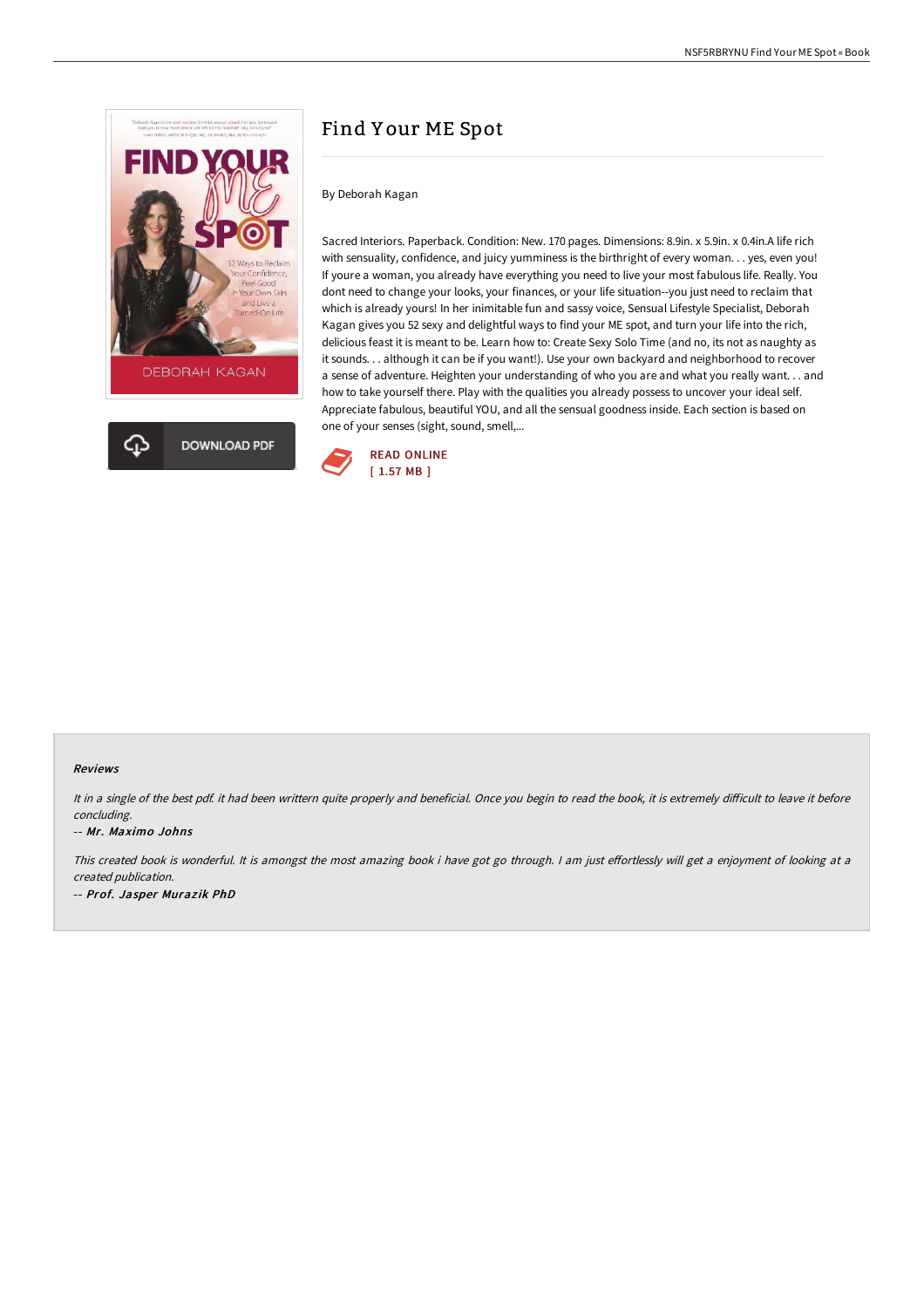

# Find Y our ME Spot

## By Deborah Kagan

Sacred Interiors. Paperback. Condition: New. 170 pages. Dimensions: 8.9in. x 5.9in. x 0.4in.A life rich with sensuality, confidence, and juicy yumminess is the birthright of every woman. . . yes, even you! If youre a woman, you already have everything you need to live your most fabulous life. Really. You dont need to change your looks, your finances, or your life situation--you just need to reclaim that which is already yours! In her inimitable fun and sassy voice, Sensual Lifestyle Specialist, Deborah Kagan gives you 52 sexy and delightful ways to find your ME spot, and turn your life into the rich, delicious feast it is meant to be. Learn how to: Create Sexy Solo Time (and no, its not as naughty as it sounds. . . although it can be if you want!). Use your own backyard and neighborhood to recover a sense of adventure. Heighten your understanding of who you are and what you really want. . . and how to take yourself there. Play with the qualities you already possess to uncover your ideal self. Appreciate fabulous, beautiful YOU, and all the sensual goodness inside. Each section is based on one of your senses (sight, sound, smell,...



## Reviews

It in a single of the best pdf. it had been writtern quite properly and beneficial. Once you begin to read the book, it is extremely difficult to leave it before concluding.

## -- Mr. Maximo Johns

This created book is wonderful. It is amongst the most amazing book i have got go through. I am just effortlessly will get a enjoyment of looking at a created publication. -- Prof. Jasper Muraz ik PhD